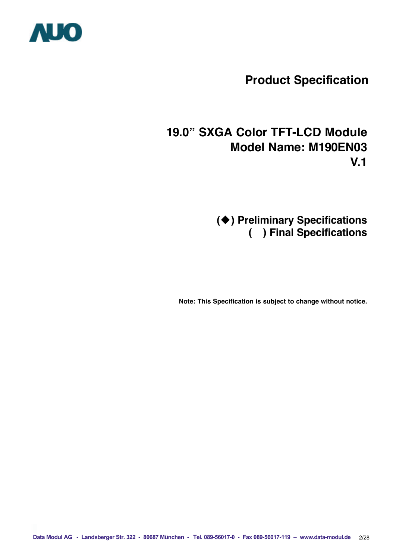

# **Product Specification**

# **19.0" SXGA Color TFT-LCD Module Model Name: M190EN03 V.1**

**(**u**) Preliminary Specifications ( ) Final Specifications**

**Note: This Specification is subject to change without notice.**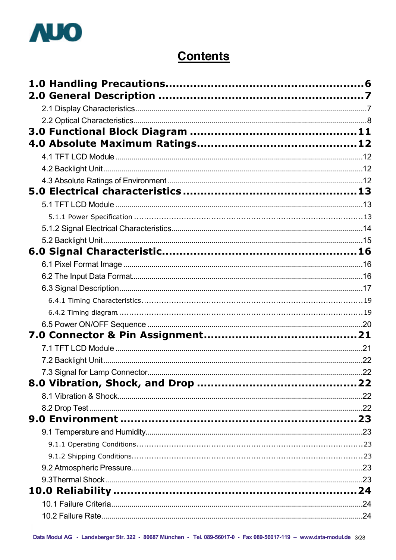

# **Contents**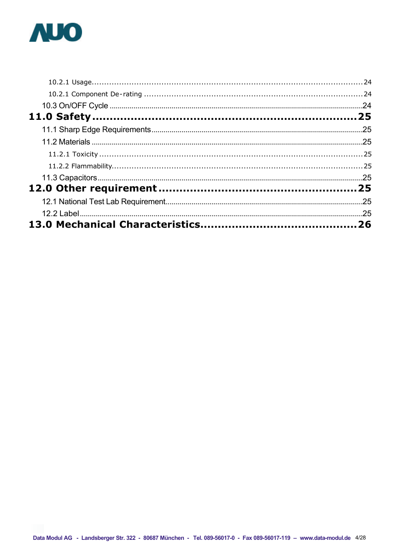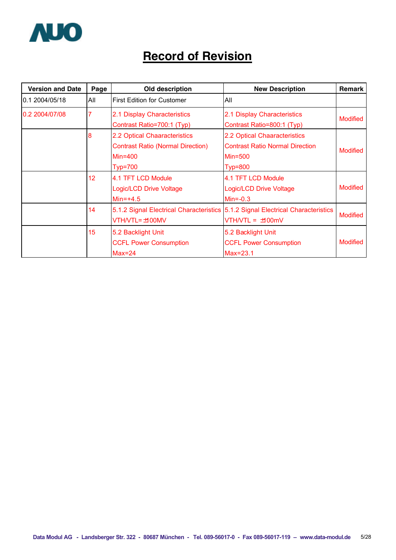

# **Record of Revision**

| <b>Version and Date</b> | Page            | Old description                                                                                         | <b>New Description</b>                                                                              | <b>Remark</b>   |
|-------------------------|-----------------|---------------------------------------------------------------------------------------------------------|-----------------------------------------------------------------------------------------------------|-----------------|
| 0.1 2004/05/18          | All             | <b>First Edition for Customer</b>                                                                       | All                                                                                                 |                 |
| 0.2 2004/07/08          |                 | 2.1 Display Characteristics<br>Contrast Ratio=700:1 (Typ)                                               | 2.1 Display Characteristics<br>Contrast Ratio=800:1 (Typ)                                           | <b>Modified</b> |
|                         | 8               | 2.2 Optical Chaaracteristics<br><b>Contrast Ratio (Normal Direction)</b><br>$Min=400$<br><b>Typ=700</b> | 2.2 Optical Chaaracteristics<br><b>Contrast Ratio Normal Direction</b><br>$Min=500$<br>$Typ = 800$  | <b>Modified</b> |
|                         | 12 <sub>2</sub> | 4.1 TFT LCD Module<br>Logic/LCD Drive Voltage<br>$Min=+4.5$                                             | 4.1 TFT LCD Module<br><b>Logic/LCD Drive Voltage</b><br>$Min=-0.3$                                  | <b>Modified</b> |
|                         | 14              | VTH/VTL= ±100MV                                                                                         | 5.1.2 Signal Electrical Characteristics 5.1.2 Signal Electrical Characteristics<br>VTH/VTL = ±100mV | <b>Modified</b> |
|                         | 15              | 5.2 Backlight Unit<br><b>CCFL Power Consumption</b><br>$Max=24$                                         | 5.2 Backlight Unit<br><b>CCFL Power Consumption</b><br>$Max=23.1$                                   | <b>Modified</b> |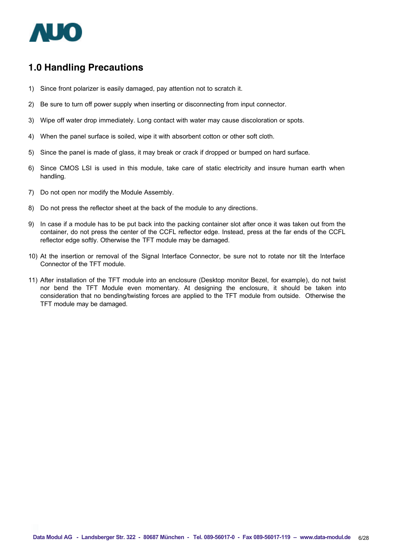

# **1.0 Handling Precautions**

- 1) Since front polarizer is easily damaged, pay attention not to scratch it.
- 2) Be sure to turn off power supply when inserting or disconnecting from input connector.
- 3) Wipe off water drop immediately. Long contact with water may cause discoloration or spots.
- 4) When the panel surface is soiled, wipe it with absorbent cotton or other soft cloth.
- 5) Since the panel is made of glass, it may break or crack if dropped or bumped on hard surface.
- 6) Since CMOS LSI is used in this module, take care of static electricity and insure human earth when handling.
- 7) Do not open nor modify the Module Assembly.
- 8) Do not press the reflector sheet at the back of the module to any directions.
- 9) In case if a module has to be put back into the packing container slot after once it was taken out from the container, do not press the center of the CCFL reflector edge. Instead, press at the far ends of the CCFL reflector edge softly. Otherwise the TFT module may be damaged.
- 10) At the insertion or removal of the Signal Interface Connector, be sure not to rotate nor tilt the Interface Connector of the TFT module.
- 11) After installation of the TFT module into an enclosure (Desktop monitor Bezel, for example), do not twist nor bend the TFT Module even momentary. At designing the enclosure, it should be taken into consideration that no bending/twisting forces are applied to the TFT module from outside. Otherwise the TFT module may be damaged.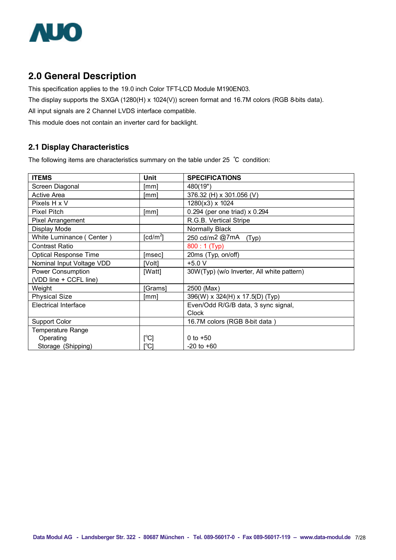

# **2.0 General Description**

This specification applies to the 19.0 inch Color TFT-LCD Module M190EN03.

The display supports the SXGA (1280(H) x 1024(V)) screen format and 16.7M colors (RGB 8-bits data).

All input signals are 2 Channel LVDS interface compatible.

This module does not contain an inverter card for backlight.

#### **2.1 Display Characteristics**

The following items are characteristics summary on the table under 25 ℃ condition:

| <b>ITEMS</b>                 | Unit                                | <b>SPECIFICATIONS</b>                      |
|------------------------------|-------------------------------------|--------------------------------------------|
| Screen Diagonal              | [mm]                                | 480(19")                                   |
| <b>Active Area</b>           | [mm]                                | 376.32 (H) x 301.056 (V)                   |
| Pixels H x V                 |                                     | 1280(x3) x 1024                            |
| <b>Pixel Pitch</b>           | [mm]                                | 0.294 (per one triad) x 0.294              |
| <b>Pixel Arrangement</b>     |                                     | R.G.B. Vertical Stripe                     |
| Display Mode                 |                                     | Normally Black                             |
| White Luminance (Center)     | $\lceil$ cd/m <sup>2</sup> $\rceil$ | 250 cd/m2 @7mA (Typ)                       |
| <b>Contrast Ratio</b>        |                                     | 800:1 (Typ)                                |
| <b>Optical Response Time</b> | [msec]                              | 20ms (Typ, on/off)                         |
| Nominal Input Voltage VDD    | [Volt]                              | $+5.0 V$                                   |
| Power Consumption            | [Watt]                              | 30W(Typ) (w/o Inverter, All white pattern) |
| (VDD line + CCFL line)       |                                     |                                            |
| Weight                       | [Grams]                             | 2500 (Max)                                 |
| <b>Physical Size</b>         | [mm]                                | 396(W) x 324(H) x 17.5(D) (Typ)            |
| <b>Electrical Interface</b>  |                                     | Even/Odd R/G/B data, 3 sync signal,        |
|                              |                                     | Clock                                      |
| <b>Support Color</b>         |                                     | 16.7M colors (RGB 8-bit data)              |
| <b>Temperature Range</b>     |                                     |                                            |
| Operating                    | [°C]                                | 0 to $+50$                                 |
| Storage (Shipping)           | [°C]                                | $-20$ to $+60$                             |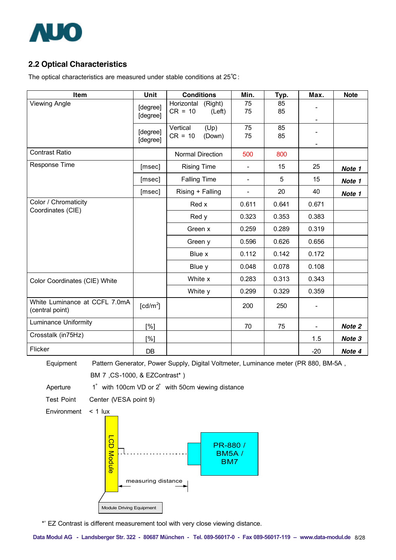

# **2.2 Optical Characteristics**

The optical characteristics are measured under stable conditions at 25℃:

| Item                                             | Unit                 | <b>Conditions</b>                            | Min.                     | Typ.     | Max.                     | <b>Note</b> |
|--------------------------------------------------|----------------------|----------------------------------------------|--------------------------|----------|--------------------------|-------------|
| <b>Viewing Angle</b>                             | [degree]<br>[degree] | Horizontal<br>(Right)<br>$CR = 10$<br>(Left) | 75<br>75                 | 85<br>85 | $\overline{\phantom{a}}$ |             |
|                                                  | [degree]<br>[degree] | Vertical<br>(Up)<br>$CR = 10$<br>(Down)      | 75<br>75                 | 85<br>85 |                          |             |
| <b>Contrast Ratio</b>                            |                      | <b>Normal Direction</b>                      | 500                      | 800      |                          |             |
| Response Time                                    | [msec]               | <b>Rising Time</b>                           | L,                       | 15       | 25                       | Note 1      |
|                                                  | [msec]               | <b>Falling Time</b>                          | $\overline{\phantom{a}}$ | 5        | 15                       | Note 1      |
|                                                  | [msec]               | Rising + Falling                             | L,                       | 20       | 40                       | Note 1      |
| Color / Chromaticity<br>Coordinates (CIE)        |                      | Red x                                        | 0.611                    | 0.641    | 0.671                    |             |
|                                                  |                      | Red y                                        | 0.323                    | 0.353    | 0.383                    |             |
|                                                  |                      | Green x                                      | 0.259                    | 0.289    | 0.319                    |             |
|                                                  |                      | Green y                                      | 0.596                    | 0.626    | 0.656                    |             |
|                                                  |                      | Blue x                                       | 0.112                    | 0.142    | 0.172                    |             |
|                                                  |                      | Blue y                                       | 0.048                    | 0.078    | 0.108                    |             |
| Color Coordinates (CIE) White                    |                      | White x                                      | 0.283                    | 0.313    | 0.343                    |             |
|                                                  |                      | White y                                      | 0.299                    | 0.329    | 0.359                    |             |
| White Luminance at CCFL 7.0mA<br>(central point) | [cd/m <sup>2</sup> ] |                                              | 200                      | 250      |                          |             |
| <b>Luminance Uniformity</b>                      | [%]                  |                                              | 70                       | 75       | $\overline{\phantom{a}}$ | Note 2      |
| Crosstalk (in75Hz)                               | [%]                  |                                              |                          |          | 1.5                      | Note 3      |
| Flicker                                          | <b>DB</b>            |                                              |                          |          | $-20$                    | Note 4      |

Equipment Pattern Generator, Power Supply, Digital Voltmeter, Luminance meter (PR 880, BM-5A,

BM 7 ,CS-1000, & EZContrast\* )

Aperture 1° with 100cm VD or 2° with 50cm viewing distance

Test Point Center (VESA point 9)

Environment < 1 lux



\*' EZ Contrast is different measurement tool with very close viewing distance.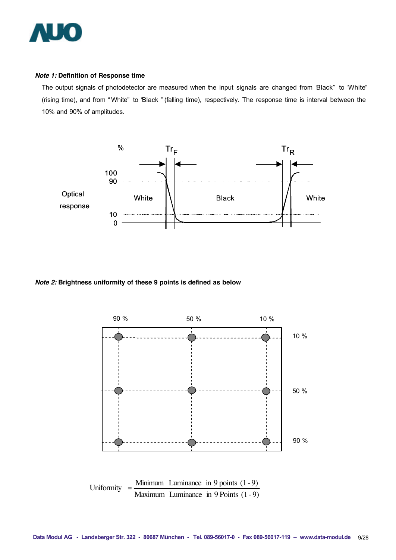

#### *Note 1:* **Definition of Response time**

The output signals of photodetector are measured when the input signals are changed from "Black" to "White" (rising time), and from " White" to "Black " (falling time), respectively. The response time is interval between the 10% and 90% of amplitudes.



#### *Note 2:* **Brightness uniformity of these 9 points is defined as below**

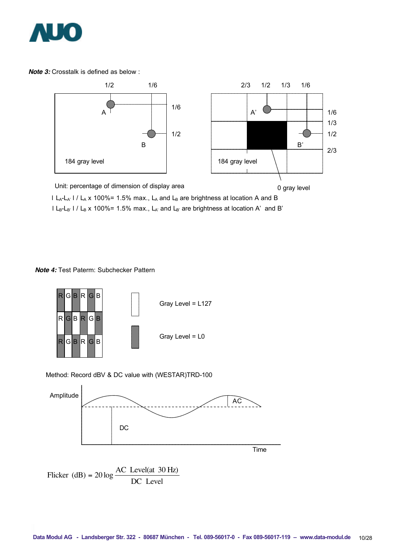

*Note 3:* Crosstalk is defined as below :



I L<sub>A</sub>-L<sub>A'</sub> I / L<sub>A</sub> x 100%= 1.5% max., L<sub>A</sub> and L<sub>B</sub> are brightness at location A and B  $l L_B-L_B$ '  $l / L_B$  x 100%= 1.5% max.,  $L_A$ ' and  $L_B$ ' are brightness at location A' and B'

*Note 4:* Test Paterm: Subchecker Pattern



Method: Record dBV & DC value with (WESTAR)TRD-100

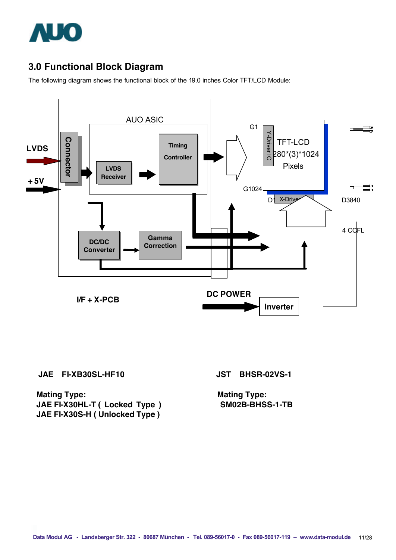

# **3.0 Functional Block Diagram**

The following diagram shows the functional block of the 19.0 inches Color TFT/LCD Module:



**JAE FI-XB30SL-HF10 JST BHSR-02VS-1**

**Mating Type:** Mating Type: **JAE FI-X30HL-T ( Locked Type ) SM02B-BHSS-1-TB JAE FI-X30S-H ( Unlocked Type )**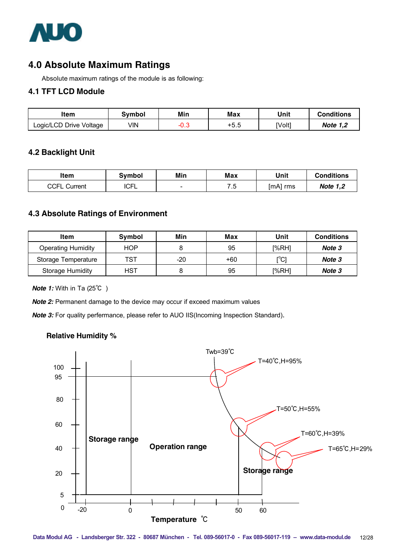

# **4.0 Absolute Maximum Ratings**

Absolute maximum ratings of the module is as following:

#### **4.1 TFT LCD Module**

| ltem                    | Svmbol | Min   | Max    | Unit   | <b>Conditions</b> |
|-------------------------|--------|-------|--------|--------|-------------------|
| Logic/LCD Drive Voltage | √lN    | -ט. ∪ | $+5.5$ | [Volt] | <b>Note 1,2</b>   |

#### **4.2 Backlight Unit**

| item            | Svmbol      | Min                      | Max         | Unit        | <b>Conditions</b> |
|-----------------|-------------|--------------------------|-------------|-------------|-------------------|
| CCFL<br>Current | ∼⊏<br>ו וטו | $\overline{\phantom{0}}$ | フ に<br>ن. ا | [mA]<br>rms | <b>Note 1,2</b>   |

#### **4.3 Absolute Ratings of Environment**

| ltem                      | Symbol     | Min   | Max   | Unit  | <b>Conditions</b> |
|---------------------------|------------|-------|-------|-------|-------------------|
| <b>Operating Humidity</b> | <b>HOP</b> |       | 95    | I%RH1 | Note 3            |
| Storage Temperature       | TST        | $-20$ | $+60$ | [°C]  | Note 3            |
| Storage Humidity          | <b>HST</b> |       | 95    | I%RH1 | Note 3            |

*Note 1:* With in Ta (25℃)

*Note 2:* Permanent damage to the device may occur if exceed maximum values

**Note 3:** For quality perfermance, please refer to AUO IIS(Incoming Inspection Standard).

#### **Relative Humidity %**

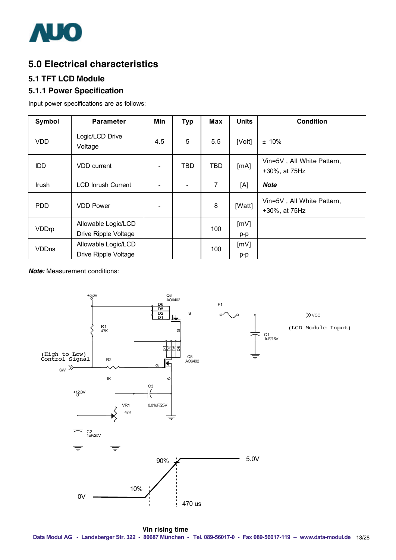

# **5.0 Electrical characteristics**

## **5.1 TFT LCD Module**

### **5.1.1 Power Specification**

Input power specifications are as follows;

| Symbol       | <b>Parameter</b>                            | Min                      | <b>Typ</b> | <b>Max</b> | <b>Units</b> | <b>Condition</b>                            |
|--------------|---------------------------------------------|--------------------------|------------|------------|--------------|---------------------------------------------|
| <b>VDD</b>   | Logic/LCD Drive<br>Voltage                  | 4.5                      | 5          | 5.5        | [Volt]       | $± 10\%$                                    |
| <b>IDD</b>   | <b>VDD</b> current                          | $\overline{\phantom{0}}$ | TBD        | <b>TBD</b> | [mA]         | Vin=5V, All White Pattern,<br>+30%, at 75Hz |
| Irush        | <b>LCD Inrush Current</b>                   |                          |            | 7          | [A]          | <b>Note</b>                                 |
| <b>PDD</b>   | <b>VDD Power</b>                            | $\overline{\phantom{a}}$ |            | 8          | [Watt]       | Vin=5V, All White Pattern,<br>+30%, at 75Hz |
| <b>VDDrp</b> | Allowable Logic/LCD<br>Drive Ripple Voltage |                          |            | 100        | [mV]<br>p-p  |                                             |
| <b>VDDns</b> | Allowable Logic/LCD<br>Drive Ripple Voltage |                          |            | 100        | [mV]<br>p-p  |                                             |

*Note:* Measurement conditions:

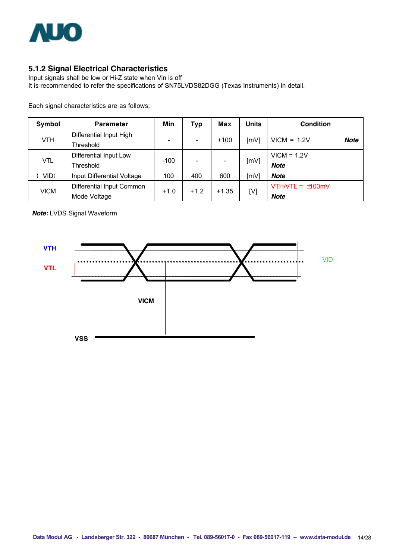

## **5.1.2 Signal Electrical Characteristics**

Input signals shall be low or Hi-Z state when Vin is off It is recommended to refer the specifications of SN75LVDS82DGG (Texas Instruments) in detail.

Each signal characteristics are as follows;

| Symbol      | <b>Parameter</b>                          | Min                          | Typ    | Max     | Units | <b>Condition</b>                    |
|-------------|-------------------------------------------|------------------------------|--------|---------|-------|-------------------------------------|
| VTH         | Differential Input High<br>Threshold      | $\qquad \qquad \blacksquare$ |        | $+100$  | [mV]  | $VICM = 1.2V$<br><b>Note</b>        |
| VTL         | Differential Input Low<br>Threshold       | $-100$                       |        |         | [mV]  | $VICM = 1.2V$<br><b>Note</b>        |
| VID!        | Input Differential Voltage                | 100                          | 400    | 600     | [mV]  | Note                                |
| <b>VICM</b> | Differential Input Common<br>Mode Voltage | $+1.0$                       | $+1.2$ | $+1.35$ | [V]   | $VTHNTL = \pm 00$ mV<br><b>Note</b> |

*Note:* LVDS Signal Waveform

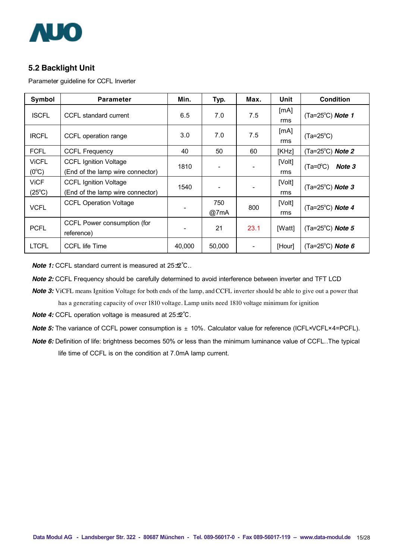

#### **5.2 Backlight Unit**

Parameter guideline for CCFL Inverter

| Symbol                         | <b>Parameter</b>                                                 | Min.   | Typ.        | Max. | Unit          | <b>Condition</b>                   |
|--------------------------------|------------------------------------------------------------------|--------|-------------|------|---------------|------------------------------------|
| <b>ISCFL</b>                   | CCFL standard current                                            | 6.5    | 7.0         | 7.5  | [mA]<br>rms   | $(Ta=25^{\circ}C)$ Note 1          |
| <b>IRCFL</b>                   | CCFL operation range                                             | 3.0    | 7.0         | 7.5  | [mA]<br>rms   | $(Ta=25^{\circ}C)$                 |
| <b>FCFL</b>                    | <b>CCFL Frequency</b>                                            | 40     | 50          | 60   | [KHz]         | $(Ta=25^{\circ}C)$ Note 2          |
| <b>VICFL</b><br>$(0^{\circ}C)$ | <b>CCFL Ignition Voltage</b><br>(End of the lamp wire connector) | 1810   |             |      | [Volt]<br>rms | $(Ta=0^{\circ}C)$<br>Note 3        |
| <b>ViCF</b><br>$(25^{\circ}C)$ | <b>CCFL Ignition Voltage</b><br>(End of the lamp wire connector) | 1540   |             |      | [Volt]<br>rms | $(Ta=25^{\circ}C)$ Note 3          |
| <b>VCFL</b>                    | <b>CCFL Operation Voltage</b>                                    |        | 750<br>@7mA | 800  | [Volt]<br>rms | (Ta=25 $^{\circ}$ C) Note 4        |
| <b>PCFL</b>                    | CCFL Power consumption (for<br>reference)                        |        | 21          | 23.1 | [Watt]        | (Ta=25 $^{\circ}$ C) Note 5        |
| <b>LTCFL</b>                   | <b>CCFL life Time</b>                                            | 40,000 | 50,000      |      | [Hour]        | (Ta=25 $^{\circ}$ C) <b>Note 6</b> |

*Note 1:* CCFL standard current is measured at 25±2°C..

*Note 2:* CCFL Frequency should be carefully determined to avoid interference between inverter and TFT LCD

- *Note 3:* ViCFL means Ignition Voltage for both ends of the lamp, and CCFL inverter should be able to give out a power that has a generating capacity of over 1810 voltage. Lamp units need 1810 voltage minimum for ignition
- *Note 4:* CCFL operation voltage is measured at 25±2°C.
- *Note 5:* The variance of CCFL power consumption is  $\pm$  10%. Calculator value for reference (ICFL×VCFL×4=PCFL).
- *Note 6:* Definition of life: brightness becomes 50% or less than the minimum luminance value of CCFL..The typical life time of CCFL is on the condition at 7.0mA lamp current.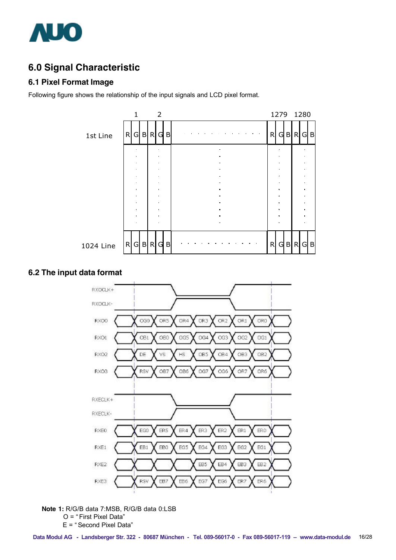

# **6.0 Signal Characteristic**

#### **6.1 Pixel Format Image**

Following figure shows the relationship of the input signals and LCD pixel format.



#### **6.2 The input data format**



**Note 1:** R/G/B data 7:MSB, R/G/B data 0:LSB O = " First Pixel Data"

E = " Second Pixel Data"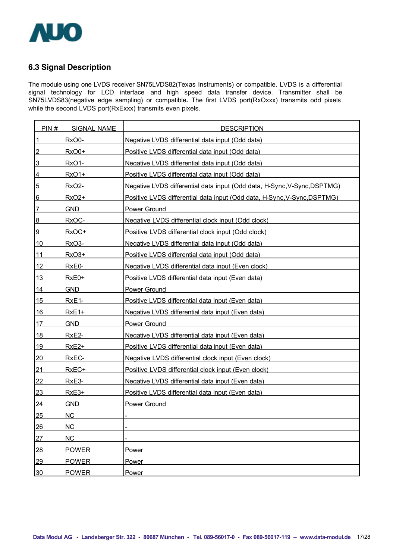

## **6.3 Signal Description**

The module using one LVDS receiver SN75LVDS82(Texas Instruments) or compatible. LVDS is a differential signal technology for LCD interface and high speed data transfer device. Transmitter shall be SN75LVDS83(negative edge sampling) or compatible**.** The first LVDS port(RxOxxx) transmits odd pixels while the second LVDS port(RxExxx) transmits even pixels.

| PIN#            | <b>SIGNAL NAME</b> | <b>DESCRIPTION</b>                                                       |
|-----------------|--------------------|--------------------------------------------------------------------------|
| $\overline{1}$  | RxO0-              | Negative LVDS differential data input (Odd data)                         |
| $\overline{2}$  | RxO0+              | Positive LVDS differential data input (Odd data)                         |
| 3               | <b>RxO1-</b>       | Negative LVDS differential data input (Odd data)                         |
| $\overline{4}$  | <u>RxO1+</u>       | Positive LVDS differential data input (Odd data)                         |
| $5\overline{)}$ | <b>RxO2-</b>       | Negative LVDS differential data input (Odd data, H-Sync, V-Sync, DSPTMG) |
| 6               | RxO2+              | Positive LVDS differential data input (Odd data, H-Sync, V-Sync, DSPTMG) |
| 7               | <b>GND</b>         | <b>Power Ground</b>                                                      |
| $8\phantom{1}$  | RxOC-              | Negative LVDS differential clock input (Odd clock)                       |
| 9               | RxOC+              | Positive LVDS differential clock input (Odd clock)                       |
| 10              | <b>RxO3-</b>       | Negative LVDS differential data input (Odd data)                         |
| $11$            | <b>RxO3+</b>       | Positive LVDS differential data input (Odd data)                         |
| 12              | RxE0-              | Negative LVDS differential data input (Even clock)                       |
| 13              | $RxE0+$            | Positive LVDS differential data input (Even data)                        |
| 14              | GND                | <b>Power Ground</b>                                                      |
| 15              | <b>RxE1-</b>       | Positive LVDS differential data input (Even data)                        |
| 16              | $RxE1+$            | Negative LVDS differential data input (Even data)                        |
| 17              | <b>GND</b>         | <b>Power Ground</b>                                                      |
| 18              | RxE <sub>2</sub> - | Negative LVDS differential data input (Even data)                        |
| 19              | $RxE2+$            | Positive LVDS differential data input (Even data)                        |
| 20              | RxEC-              | Negative LVDS differential clock input (Even clock)                      |
| 21              | RxEC+              | Positive LVDS differential clock input (Even clock)                      |
| 22              | <b>RxE3-</b>       | Negative LVDS differential data input (Even data)                        |
| 23              | $RxE3+$            | Positive LVDS differential data input (Even data)                        |
| <u>24</u>       | <b>GND</b>         | <b>Power Ground</b>                                                      |
| 25              | <b>NC</b>          |                                                                          |
| 26              | <b>NC</b>          |                                                                          |
| 27              | <b>NC</b>          |                                                                          |
| 28              | <b>POWER</b>       | Power                                                                    |
| 29              | <b>POWER</b>       | Power                                                                    |
| 30              | <b>POWER</b>       | Power                                                                    |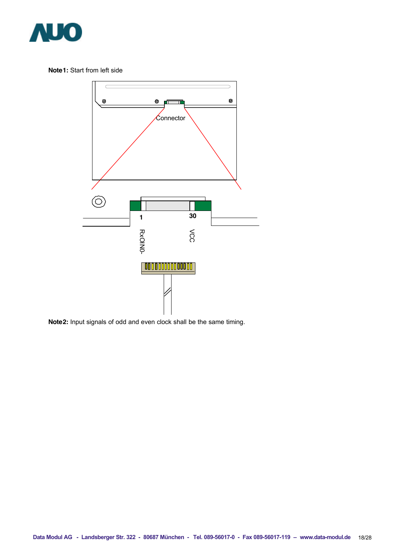

**Note1:** Start from left side



**Note2:** Input signals of odd and even clock shall be the same timing.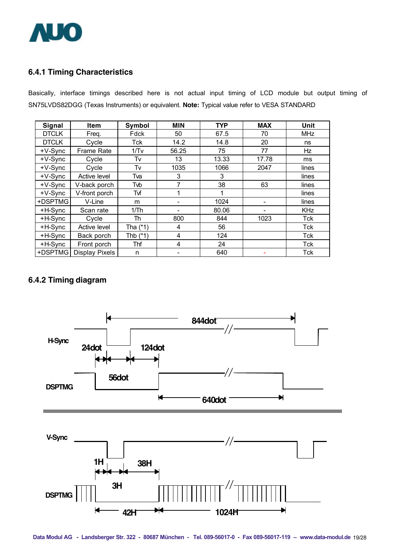

## **6.4.1 Timing Characteristics**

Basically, interface timings described here is not actual input timing of LCD module but output timing of SN75LVDS82DGG (Texas Instruments) or equivalent. **Note:** Typical value refer to VESA STANDARD

| <b>Signal</b> | <b>Item</b>    | Symbol     | <b>MIN</b> | <b>TYP</b> | <b>MAX</b> | Unit       |
|---------------|----------------|------------|------------|------------|------------|------------|
| <b>DTCLK</b>  | Freq.          | Fdck       | 50         | 67.5       | 70         | <b>MHz</b> |
| <b>DTCLK</b>  | Cycle          | Tck        | 14.2       | 14.8       | 20         | ns         |
| $+V-Sync$     | Frame Rate     | 1/Tv       | 56.25      | 75         | 77         | Hz         |
| $+V-Sync$     | Cycle          | Tv         | 13         | 13.33      | 17.78      | ms         |
| $+V-Sync$     | Cycle          | Tv         | 1035       | 1066       | 2047       | lines      |
| $+V-Sync$     | Active level   | Tva        | 3          | 3          |            | lines      |
| $+V-Sync$     | V-back porch   | Tvb        | 7          | 38         | 63         | lines      |
| $+V-S$ ync    | V-front porch  | Tvf        | 1          |            |            | lines      |
| +DSPTMG       | V-Line         | m          |            | 1024       |            | lines      |
| +H-Sync       | Scan rate      | 1/Th       |            | 80.06      |            | <b>KHz</b> |
| +H-Sync       | Cycle          | Th         | 800        | 844        | 1023       | Tck        |
| +H-Sync       | Active level   | Tha $(*1)$ | 4          | 56         |            | Tck        |
| +H-Sync       | Back porch     | Thb $(*1)$ | 4          | 124        |            | Tck        |
| +H-Sync       | Front porch    | Thf        | 4          | 24         |            | Tck        |
| +DSPTMG       | Display Pixels | n          |            | 640        |            | <b>Tck</b> |

# **6.4.2 Timing diagram**

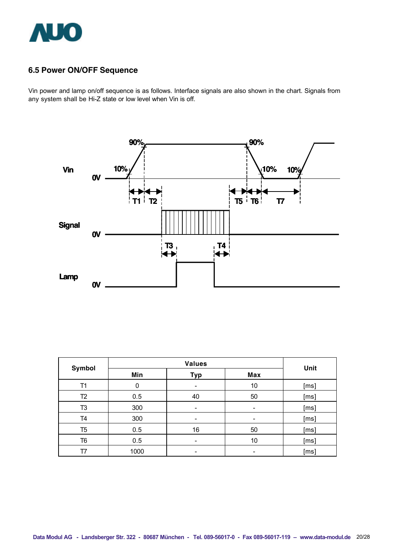

## **6.5 Power ON/OFF Sequence**

Vin power and lamp on/off sequence is as follows. Interface signals are also shown in the chart. Signals from any system shall be Hi-Z state or low level when Vin is off.



| Symbol         | <b>Values</b> |            |            | Unit |
|----------------|---------------|------------|------------|------|
|                | Min           | <b>Typ</b> | <b>Max</b> |      |
| T1             | 0             |            | 10         | [ms] |
| T <sub>2</sub> | 0.5           | 40         | 50         | [ms] |
| T <sub>3</sub> | 300           |            |            | [ms] |
| T4             | 300           |            | -          | [ms] |
| T5             | 0.5           | 16         | 50         | [ms] |
| T6             | 0.5           | -          | 10         | [ms] |
| Τ7             | 1000          |            |            | [ms] |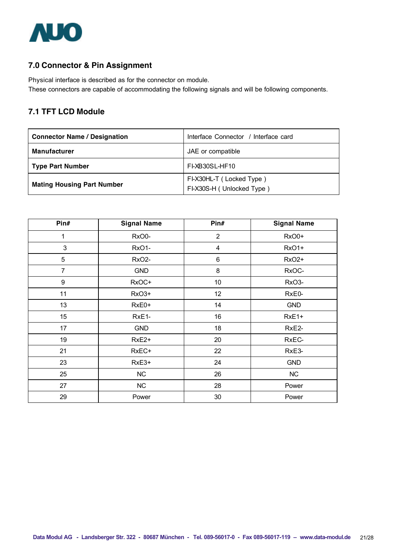

## **7.0 Connector & Pin Assignment**

Physical interface is described as for the connector on module. These connectors are capable of accommodating the following signals and will be following components.

### **7.1 TFT LCD Module**

| <b>Connector Name / Designation</b> | Interface Connector / Interface card                  |  |
|-------------------------------------|-------------------------------------------------------|--|
| <b>Manufacturer</b>                 | JAE or compatible                                     |  |
| <b>Type Part Number</b>             | FI-XB30SL-HF10                                        |  |
| <b>Mating Housing Part Number</b>   | FI-X30HL-T (Locked Type)<br>FI-X30S-H (Unlocked Type) |  |

| Pin#             | <b>Signal Name</b> | Pin#           | <b>Signal Name</b> |
|------------------|--------------------|----------------|--------------------|
| 1                | RxO0-              | $\overline{2}$ | RxO0+              |
| 3                | RxO1-              | 4              | RxO1+              |
| 5                | RxO <sub>2</sub> - | 6              | <b>RxO2+</b>       |
| $\overline{7}$   | <b>GND</b>         | 8              | RxOC-              |
| $\boldsymbol{9}$ | RxOC+              | 10             | RxO <sub>3</sub> - |
| 11               | RxO3+              | 12             | RxE0-              |
| 13               | RxE0+              | 14             | <b>GND</b>         |
| 15 <sub>15</sub> | RxE1-              | 16             | RxE1+              |
| 17               | <b>GND</b>         | 18             | RxE2-              |
| 19               | RxE <sub>2+</sub>  | 20             | RxEC-              |
| 21               | RxEC+              | 22             | RxE3-              |
| 23               | RxE3+              | 24             | <b>GND</b>         |
| 25               | NC                 | 26             | <b>NC</b>          |
| 27               | NC                 | 28             | Power              |
| 29               | Power              | 30             | Power              |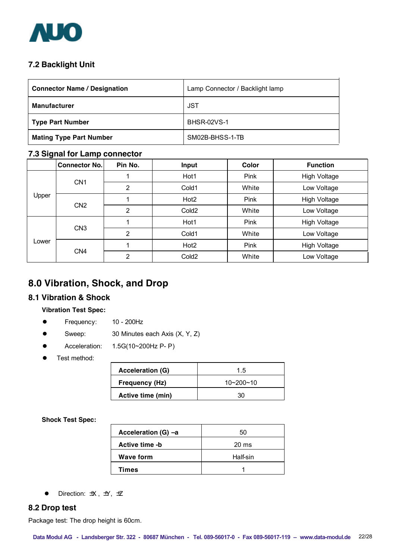

# **7.2 Backlight Unit**

| <b>Connector Name / Designation</b> | Lamp Connector / Backlight lamp |  |
|-------------------------------------|---------------------------------|--|
| <b>Manufacturer</b>                 | <b>JST</b>                      |  |
| <b>Type Part Number</b>             | <b>BHSR-02VS-1</b>              |  |
| <b>Mating Type Part Number</b>      | SM02B-BHSS-1-TB                 |  |

#### **7.3 Signal for Lamp connector**

|       | <b>Connector No.</b> | Pin No.        | Input             | <b>Color</b> | <b>Function</b>     |
|-------|----------------------|----------------|-------------------|--------------|---------------------|
|       |                      |                | Hot1              | Pink         | <b>High Voltage</b> |
|       | CN <sub>1</sub>      | 2              | Cold1             | White        | Low Voltage         |
| Upper |                      |                | Hot <sub>2</sub>  | Pink         | <b>High Voltage</b> |
|       | CN <sub>2</sub>      | $\overline{2}$ | Cold <sub>2</sub> | White        | Low Voltage         |
|       |                      |                | Hot1              | Pink         | <b>High Voltage</b> |
|       | CN <sub>3</sub>      | 2              | Cold1             | White        | Low Voltage         |
| Lower |                      |                | Hot <sub>2</sub>  | Pink         | <b>High Voltage</b> |
|       | CN <sub>4</sub>      | $\overline{2}$ | Cold <sub>2</sub> | White        | Low Voltage         |

# **8.0 Vibration, Shock, and Drop**

#### **8.1 Vibration & Shock**

#### **Vibration Test Spec:**

- **e** Frequency: 10 200Hz
- Sweep: 30 Minutes each Axis (X, Y, Z)
- l Acceleration: 1.5G(10~200Hz P- P)
- Test method:

| <b>Acceleration (G)</b> | 1.5             |  |
|-------------------------|-----------------|--|
| Frequency (Hz)          | $10 - 200 - 10$ |  |
| Active time (min)       |                 |  |

**Shock Test Spec:**

| Acceleration (G) -a | 50              |
|---------------------|-----------------|
| Active time -b      | $20 \text{ ms}$ |
| <b>Wave form</b>    | Half-sin        |
| Times               |                 |

 $\bullet$  Direction:  $\pm X$ ,  $\pm Y$ ,  $\pm Z$ 

#### **8.2 Drop test**

Package test: The drop height is 60cm.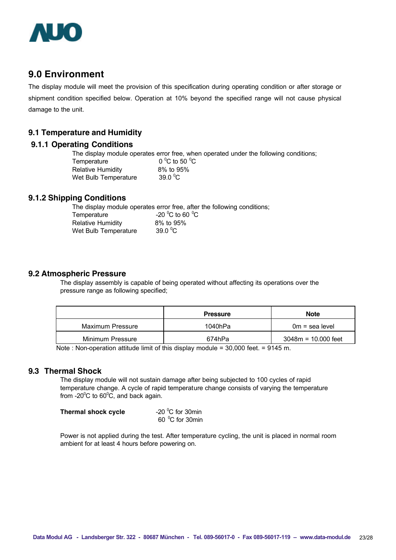

# **9.0 Environment**

The display module will meet the provision of this specification during operating condition or after storage or shipment condition specified below. Operation at 10% beyond the specified range will not cause physical damage to the unit.

#### **9.1 Temperature and Humidity**

#### **9.1.1 Operating Conditions**

The display module operates error free, when operated under the following conditions; Temperature C to 50  $^{\circ}$ C Relative Humidity 8% to 95% Wet Bulb Temperature 39.0 $\degree$ C

#### **9.1.2 Shipping Conditions**

The display module operates error free, after the following conditions;

| Temperature          | -20 $^{\circ}$ C to 60 $^{\circ}$ C |  |
|----------------------|-------------------------------------|--|
| Relative Humidity    | 8% to 95%                           |  |
| Wet Bulb Temperature | 39.0 $\mathrm{^0C}$                 |  |

#### **9.2 Atmospheric Pressure**

The display assembly is capable of being operated without affecting its operations over the pressure range as following specified;

|                  | <b>Pressure</b> | <b>Note</b>           |
|------------------|-----------------|-----------------------|
| Maximum Pressure | 1040hPa         | $0m =$ sea level      |
| Minimum Pressure | 674hPa          | $3048m = 10.000$ feet |

Note : Non-operation attitude limit of this display module = 30,000 feet. = 9145 m.

#### **9.3 Thermal Shock**

The display module will not sustain damage after being subjected to 100 cycles of rapid temperature change. A cycle of rapid temperature change consists of varying the temperature from -20 $\mathrm{^0C}$  to 60 $\mathrm{^0C}$ , and back again.

| Thermal shock cycle | -20 $\mathrm{^0C}$ for 30min |
|---------------------|------------------------------|
|                     | 60 °C for 30min              |

Power is not applied during the test. After temperature cycling, the unit is placed in normal room ambient for at least 4 hours before powering on.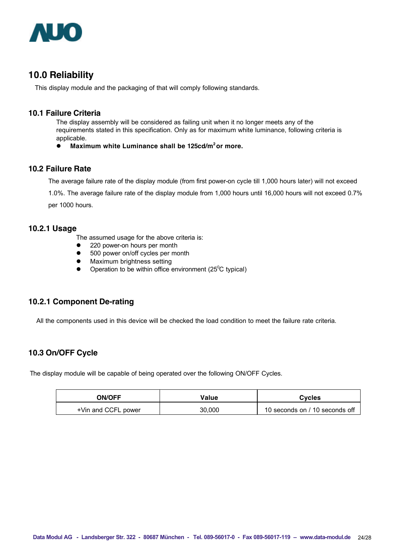

# **10.0 Reliability**

This display module and the packaging of that will comply following standards.

#### **10.1 Failure Criteria**

The display assembly will be considered as failing unit when it no longer meets any of the requirements stated in this specification. Only as for maximum white luminance, following criteria is applicable.

l **Maximum white Luminance shall be 125cd/m2 or more.**

#### **10.2 Failure Rate**

The average failure rate of the display module (from first power-on cycle till 1,000 hours later) will not exceed

1.0%. The average failure rate of the display module from 1,000 hours until 16,000 hours will not exceed 0.7%

per 1000 hours.

#### **10.2.1 Usage**

The assumed usage for the above criteria is:

- 220 power-on hours per month
- 500 power on/off cycles per month
- Maximum brightness setting
- Operation to be within office environment (25 $\mathrm{^0C}$  typical)

#### **10.2.1 Component De-rating**

All the components used in this device will be checked the load condition to meet the failure rate criteria.

### **10.3 On/OFF Cycle**

The display module will be capable of being operated over the following ON/OFF Cycles.

| <b>ON/OFF</b>       | Value  | <b>Cycles</b>                  |
|---------------------|--------|--------------------------------|
| +Vin and CCFL power | 30.000 | 10 seconds on / 10 seconds off |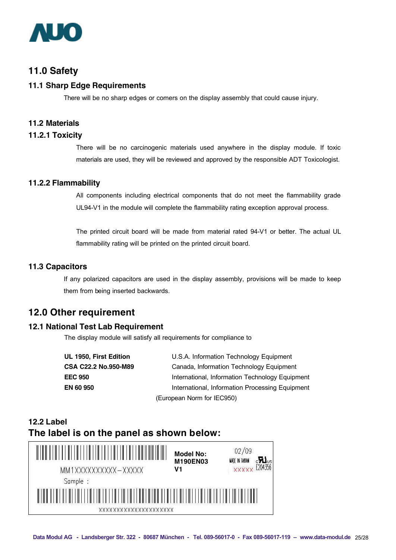

# **11.0 Safety**

#### **11.1 Sharp Edge Requirements**

There will be no sharp edges or comers on the display assembly that could cause injury.

#### **11.2 Materials**

#### **11.2.1 Toxicity**

There will be no carcinogenic materials used anywhere in the display module. If toxic materials are used, they will be reviewed and approved by the responsible ADT Toxicologist.

#### **11.2.2 Flammability**

All components including electrical components that do not meet the flammability grade UL94-V1 in the module will complete the flammability rating exception approval process.

The printed circuit board will be made from material rated 94-V1 or better. The actual UL flammability rating will be printed on the printed circuit board.

#### **11.3 Capacitors**

If any polarized capacitors are used in the display assembly, provisions will be made to keep them from being inserted backwards.

### **12.0 Other requirement**

#### **12.1 National Test Lab Requirement**

The display module will satisfy all requirements for compliance to

| UL 1950, First Edition | U.S.A. Information Technology Equipment         |
|------------------------|-------------------------------------------------|
| CSA C22.2 No.950-M89   | Canada, Information Technology Equipment        |
| <b>EEC 950</b>         | International, Information Technology Equipment |
| <b>EN 60 950</b>       | International, Information Processing Equipment |
|                        | (European Norm for IEC950)                      |

# **12.2 Label The label is on the panel as shown below:**

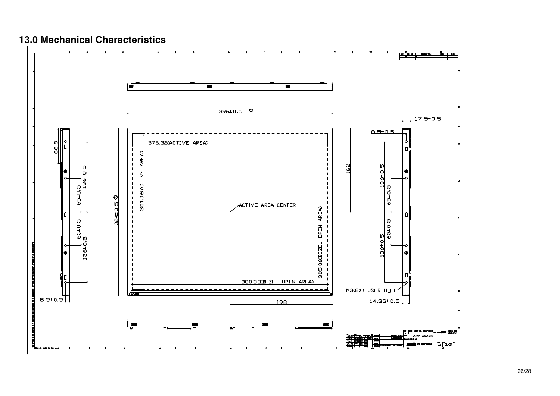# **13.0 Mechanical Characteristics**

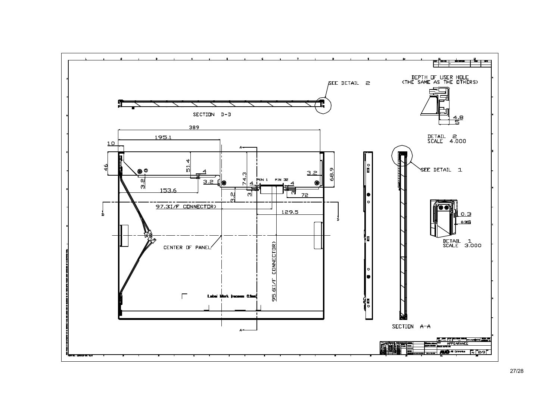